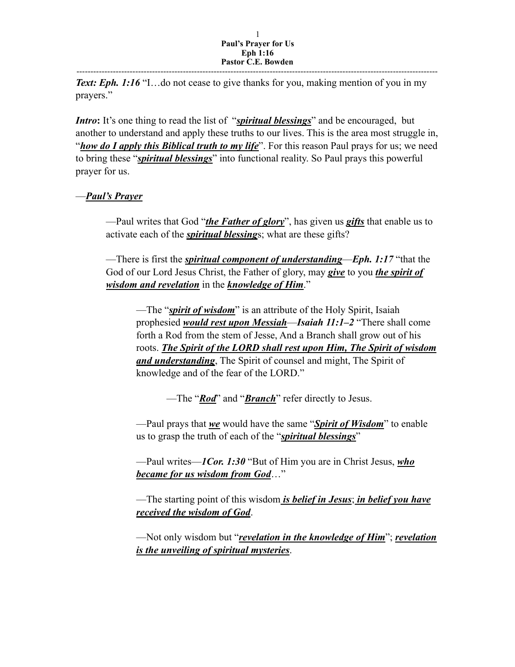---------------------------------------------------------------------------------------------------------------------------------

*Text: Eph. 1:16* "I...do not cease to give thanks for you, making mention of you in my prayers."

*Intro*: It's one thing to read the list of "*spiritual blessings*" and be encouraged, but another to understand and apply these truths to our lives. This is the area most struggle in, "*how do I apply this Biblical truth to my life*". For this reason Paul prays for us; we need to bring these "*spiritual blessings*" into functional reality. So Paul prays this powerful prayer for us.

## —*Paul's Prayer*

—Paul writes that God "*the Father of glory*", has given us *gifts* that enable us to activate each of the *spiritual blessing*s; what are these gifts?

—There is first the *spiritual component of understanding*—*Eph. 1:17* "that the God of our Lord Jesus Christ, the Father of glory, may *give* to you *the spirit of wisdom and revelation* in the *knowledge of Him*."

—The "*spirit of wisdom*" is an attribute of the Holy Spirit, Isaiah prophesied *would rest upon Messiah*—*Isaiah 11:1–2* "There shall come forth a Rod from the stem of Jesse, And a Branch shall grow out of his roots. *The Spirit of the LORD shall rest upon Him, The Spirit of wisdom and understanding*, The Spirit of counsel and might, The Spirit of knowledge and of the fear of the LORD."

—The "*Rod*" and "*Branch*" refer directly to Jesus.

—Paul prays that *we* would have the same "*Spirit of Wisdom*" to enable us to grasp the truth of each of the "*spiritual blessings*"

—Paul writes—*1Cor. 1:30* "But of Him you are in Christ Jesus, *who became for us wisdom from God*…"

—The starting point of this wisdom *is belief in Jesus*; *in belief you have received the wisdom of God*.

—Not only wisdom but "*revelation in the knowledge of Him*"; *revelation is the unveiling of spiritual mysteries*.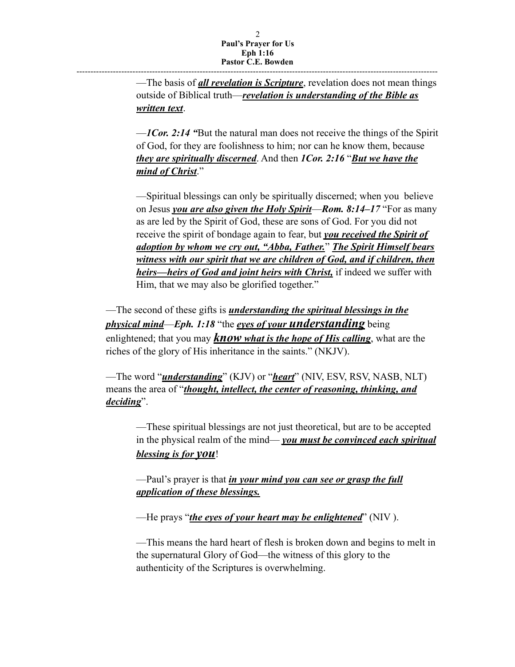--------------------------------------------------------------------------------------------------------------------------------- —The basis of *all revelation is Scripture*, revelation does not mean things outside of Biblical truth—*revelation is understanding of the Bible as written text*.

> —*1Cor. 2:14 "*But the natural man does not receive the things of the Spirit of God, for they are foolishness to him; nor can he know them, because *they are spiritually discerned*. And then *1Cor. 2:16* "*But we have the mind of Christ*."

> —Spiritual blessings can only be spiritually discerned; when you believe on Jesus *you are also given the Holy Spirit*—*Rom. 8:14–17* "For as many as are led by the Spirit of God, these are sons of God. For you did not receive the spirit of bondage again to fear, but *you received the Spirit of adoption by whom we cry out, "Abba, Father.*" *The Spirit Himself bears witness with our spirit that we are children of God, and if children, then heirs—heirs of God and joint heirs with Christ,* if indeed we suffer with Him, that we may also be glorified together."

—The second of these gifts is *understanding the spiritual blessings in the physical mind*—*Eph. 1:18* "the *eyes of your understanding* being enlightened; that you may *know what is the hope of His calling*, what are the riches of the glory of His inheritance in the saints." (NKJV).

—The word "*understanding*" (KJV) or "*heart*" (NIV, ESV, RSV, NASB, NLT) means the area of "*thought, intellect, the center of reasoning, thinking, and deciding*".

—These spiritual blessings are not just theoretical, but are to be accepted in the physical realm of the mind— *you must be convinced each spiritual blessing is for you*!

—Paul's prayer is that *in your mind you can see or grasp the full application of these blessings.*

—He prays "*the eyes of your heart may be enlightened*" (NIV ).

—This means the hard heart of flesh is broken down and begins to melt in the supernatural Glory of God—the witness of this glory to the authenticity of the Scriptures is overwhelming.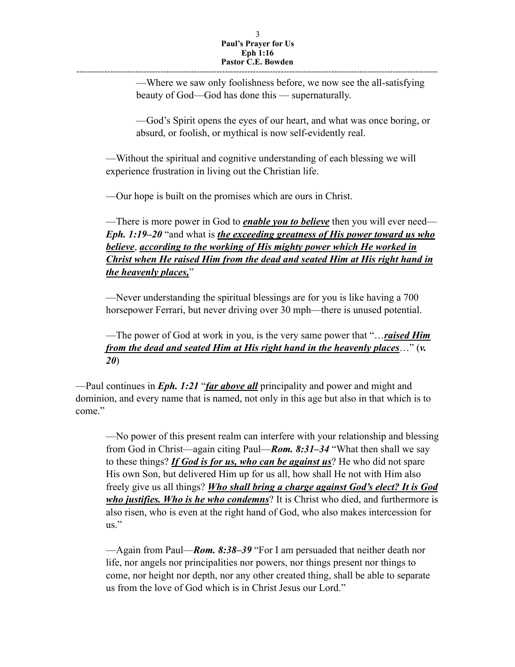---------------------------------------------------------------------------------------------------------------------------------

—Where we saw only foolishness before, we now see the all-satisfying beauty of God—God has done this — supernaturally.

—God's Spirit opens the eyes of our heart, and what was once boring, or absurd, or foolish, or mythical is now self-evidently real.

—Without the spiritual and cognitive understanding of each blessing we will experience frustration in living out the Christian life.

—Our hope is built on the promises which are ours in Christ.

—There is more power in God to *enable you to believe* then you will ever need— *Eph. 1:19–20* "and what is *the exceeding greatness of His power toward us who believe*, *according to the working of His mighty power which He worked in Christ when He raised Him from the dead and seated Him at His right hand in the heavenly places,*"

—Never understanding the spiritual blessings are for you is like having a 700 horsepower Ferrari, but never driving over 30 mph—there is unused potential.

—The power of God at work in you, is the very same power that "…*raised Him from the dead and seated Him at His right hand in the heavenly places*…" (*v. 20*)

—Paul continues in *Eph. 1:21* "*far above all* principality and power and might and dominion, and every name that is named, not only in this age but also in that which is to come."

—No power of this present realm can interfere with your relationship and blessing from God in Christ—again citing Paul—*Rom. 8:31–34* "What then shall we say to these things? *If God is for us, who can be against us*? He who did not spare His own Son, but delivered Him up for us all, how shall He not with Him also freely give us all things? *Who shall bring a charge against God's elect? It is God who justifies. Who is he who condemns*? It is Christ who died, and furthermore is also risen, who is even at the right hand of God, who also makes intercession for us."

—Again from Paul—*Rom. 8:38–39* "For I am persuaded that neither death nor life, nor angels nor principalities nor powers, nor things present nor things to come, nor height nor depth, nor any other created thing, shall be able to separate us from the love of God which is in Christ Jesus our Lord."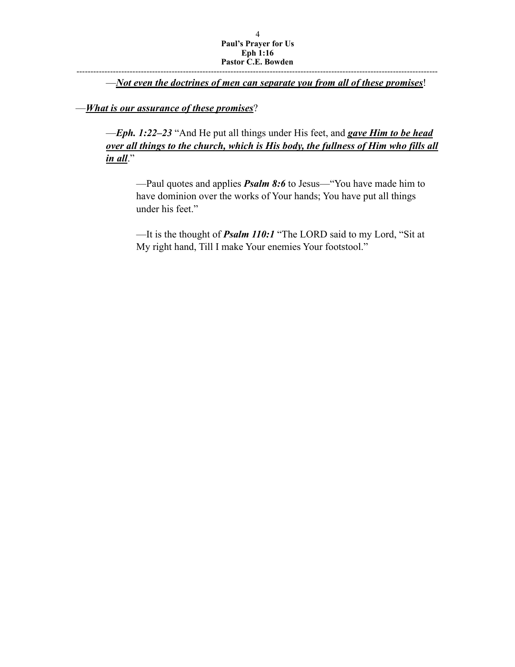---------------------------------------------------------------------------------------------------------------------------------

—*Not even the doctrines of men can separate you from all of these promises*!

—*What is our assurance of these promises*?

—*Eph. 1:22–23* "And He put all things under His feet, and *gave Him to be head over all things to the church, which is His body, the fullness of Him who fills all in all*."

—Paul quotes and applies *Psalm 8:6* to Jesus—"You have made him to have dominion over the works of Your hands; You have put all things under his feet."

—It is the thought of *Psalm 110:1* "The LORD said to my Lord, "Sit at My right hand, Till I make Your enemies Your footstool."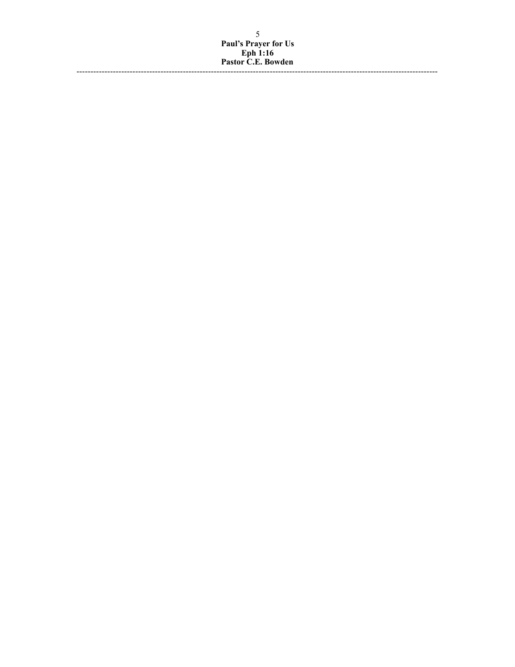$5$ <br>Paul's Prayer for Us<br>Eph 1:16<br>Posteu G E Posudan Pastor C.E. Bowden

. . . . . . . . . . . .